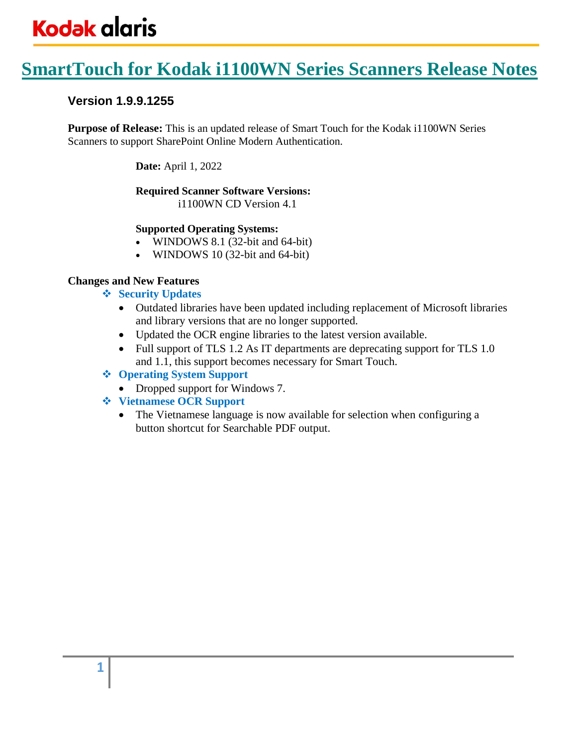### **SmartTouch for Kodak i1100WN Series Scanners Release Notes**

#### **Version 1.9.9.1255**

**Purpose of Release:** This is an updated release of Smart Touch for the Kodak i1100WN Series Scanners to support SharePoint Online Modern Authentication.

**Date:** April 1, 2022

#### **Required Scanner Software Versions:**

i1100WN CD Version 4.1

#### **Supported Operating Systems:**

- WINDOWS 8.1 (32-bit and 64-bit)
- WINDOWS 10 (32-bit and 64-bit)

#### **Changes and New Features**

- ❖ **Security Updates**
	- Outdated libraries have been updated including replacement of Microsoft libraries and library versions that are no longer supported.
	- Updated the OCR engine libraries to the latest version available.
	- Full support of TLS 1.2 As IT departments are deprecating support for TLS 1.0 and 1.1, this support becomes necessary for Smart Touch.

#### ❖ **Operating System Support**

- Dropped support for Windows 7.
- ❖ **Vietnamese OCR Support**
	- The Vietnamese language is now available for selection when configuring a button shortcut for Searchable PDF output.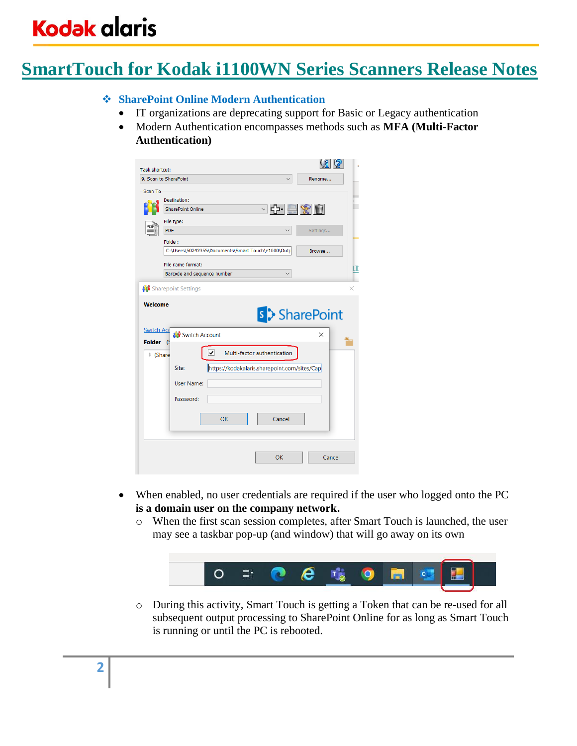## **SmartTouch for Kodak i1100WN Series Scanners Release Notes**

#### ❖ **SharePoint Online Modern Authentication**

- IT organizations are deprecating support for Basic or Legacy authentication
- Modern Authentication encompasses methods such as **MFA (Multi-Factor Authentication)**

| Task shortcut:                           |                                                                                              | $\mathcal{G}(\mathcal{S})$ |
|------------------------------------------|----------------------------------------------------------------------------------------------|----------------------------|
|                                          | 9. Scan to SharePoint                                                                        | Rename                     |
| Scan To                                  | Destination:<br>○ 다 로 ※ 히<br><b>SharePoint Online</b><br>File type:<br><b>PDF</b><br>Folder: | Settings                   |
|                                          | C:\Users\50242355\Documents\Smart Touch\e1000\Outp                                           | Browse                     |
|                                          | File name format:                                                                            |                            |
|                                          | Barcode and sequence number                                                                  |                            |
| <b>Switch Acc</b>                        | <b>A</b> Switch Account                                                                      | s > SharePoint<br>X        |
| <b>Folder</b><br>$\triangleright$ (Share | (S<br>⊽<br>Multi-factor authentication                                                       |                            |
|                                          | https://kodakalaris.sharepoint.com/sites/Cap<br>Site:                                        |                            |
|                                          | <b>User Name:</b>                                                                            |                            |
|                                          | Password:                                                                                    |                            |
|                                          | Cancel<br>OK                                                                                 |                            |
|                                          | OK                                                                                           | Cancel                     |

- When enabled, no user credentials are required if the user who logged onto the PC **is a domain user on the company network.**
	- o When the first scan session completes, after Smart Touch is launched, the user may see a taskbar pop-up (and window) that will go away on its own



o During this activity, Smart Touch is getting a Token that can be re-used for all subsequent output processing to SharePoint Online for as long as Smart Touch is running or until the PC is rebooted.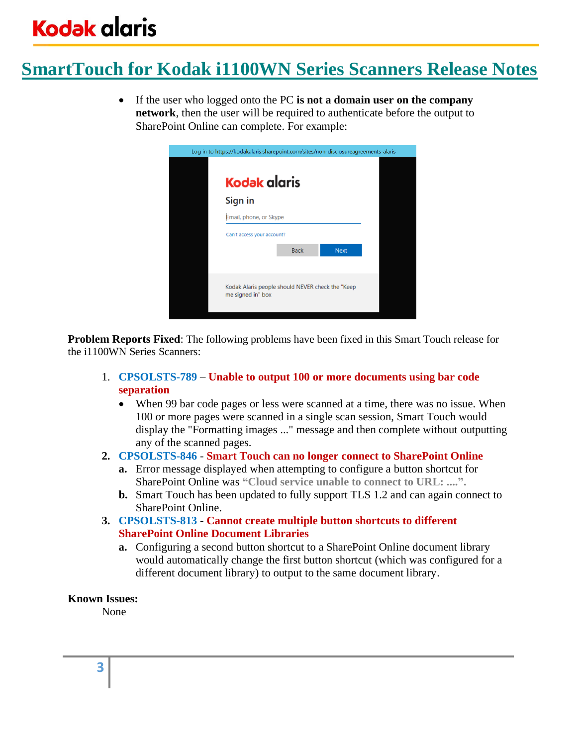## **SmartTouch for Kodak i1100WN Series Scanners Release Notes**

• If the user who logged onto the PC **is not a domain user on the company network**, then the user will be required to authenticate before the output to SharePoint Online can complete. For example:



**Problem Reports Fixed**: The following problems have been fixed in this Smart Touch release for the i1100WN Series Scanners:

- 1. **CPSOLSTS-789 Unable to output 100 or more documents using bar code separation**
	- When 99 bar code pages or less were scanned at a time, there was no issue. When 100 or more pages were scanned in a single scan session, Smart Touch would display the "Formatting images ..." message and then complete without outputting any of the scanned pages.
- **2. CPSOLSTS-846 Smart Touch can no longer connect to SharePoint Online**
	- **a.** Error message displayed when attempting to configure a button shortcut for SharePoint Online was **"Cloud service unable to connect to URL: ....".**
	- **b.** Smart Touch has been updated to fully support TLS 1.2 and can again connect to SharePoint Online.
- **3. CPSOLSTS-813 Cannot create multiple button shortcuts to different SharePoint Online Document Libraries**
	- **a.** Configuring a second button shortcut to a SharePoint Online document library would automatically change the first button shortcut (which was configured for a different document library) to output to the same document library.

#### **Known Issues:**

None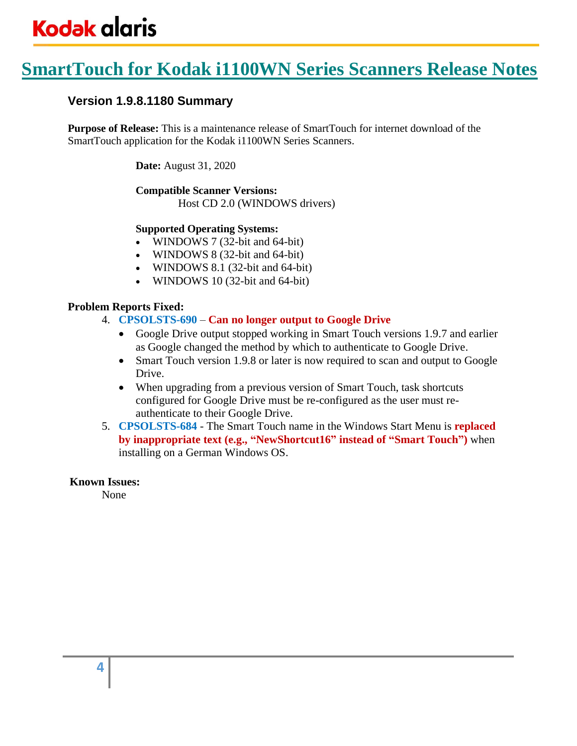## **SmartTouch for Kodak i1100WN Series Scanners Release Notes**

#### **Version 1.9.8.1180 Summary**

**Purpose of Release:** This is a maintenance release of SmartTouch for internet download of the SmartTouch application for the Kodak i1100WN Series Scanners.

**Date:** August 31, 2020

#### **Compatible Scanner Versions:**

Host CD 2.0 (WINDOWS drivers)

#### **Supported Operating Systems:**

- WINDOWS 7 (32-bit and 64-bit)
- WINDOWS 8 (32-bit and 64-bit)
- WINDOWS 8.1 (32-bit and 64-bit)
- WINDOWS 10 (32-bit and 64-bit)

#### **Problem Reports Fixed:**

- 4. **CPSOLSTS-690 Can no longer output to Google Drive**
	- Google Drive output stopped working in Smart Touch versions 1.9.7 and earlier as Google changed the method by which to authenticate to Google Drive.
	- Smart Touch version 1.9.8 or later is now required to scan and output to Google Drive.
	- When upgrading from a previous version of Smart Touch, task shortcuts configured for Google Drive must be re-configured as the user must reauthenticate to their Google Drive.
- 5. **CPSOLSTS-684** The Smart Touch name in the Windows Start Menu is **replaced by inappropriate text (e.g., "NewShortcut16" instead of "Smart Touch")** when installing on a German Windows OS.

#### **Known Issues:**

None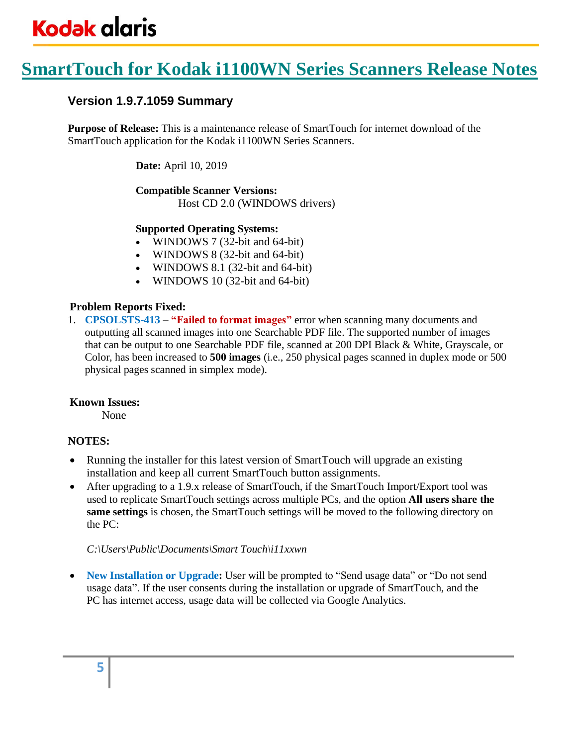## **SmartTouch for Kodak i1100WN Series Scanners Release Notes**

#### **Version 1.9.7.1059 Summary**

**Purpose of Release:** This is a maintenance release of SmartTouch for internet download of the SmartTouch application for the Kodak i1100WN Series Scanners.

**Date:** April 10, 2019

### **Compatible Scanner Versions:**

Host CD 2.0 (WINDOWS drivers)

#### **Supported Operating Systems:**

- WINDOWS 7 (32-bit and 64-bit)
- WINDOWS 8 (32-bit and 64-bit)
- WINDOWS 8.1 (32-bit and 64-bit)
- WINDOWS 10 (32-bit and 64-bit)

#### **Problem Reports Fixed:**

1. **CPSOLSTS-413** – **"Failed to format images"** error when scanning many documents and outputting all scanned images into one Searchable PDF file. The supported number of images that can be output to one Searchable PDF file, scanned at 200 DPI Black & White, Grayscale, or Color, has been increased to **500 images** (i.e., 250 physical pages scanned in duplex mode or 500 physical pages scanned in simplex mode).

#### **Known Issues:**

None

#### **NOTES:**

- Running the installer for this latest version of SmartTouch will upgrade an existing installation and keep all current SmartTouch button assignments.
- After upgrading to a 1.9.x release of SmartTouch, if the SmartTouch Import/Export tool was used to replicate SmartTouch settings across multiple PCs, and the option **All users share the same settings** is chosen, the SmartTouch settings will be moved to the following directory on the PC:

#### *C:\Users\Public\Documents\Smart Touch\i11xxwn*

• **New Installation or Upgrade:** User will be prompted to "Send usage data" or "Do not send usage data". If the user consents during the installation or upgrade of SmartTouch, and the PC has internet access, usage data will be collected via Google Analytics.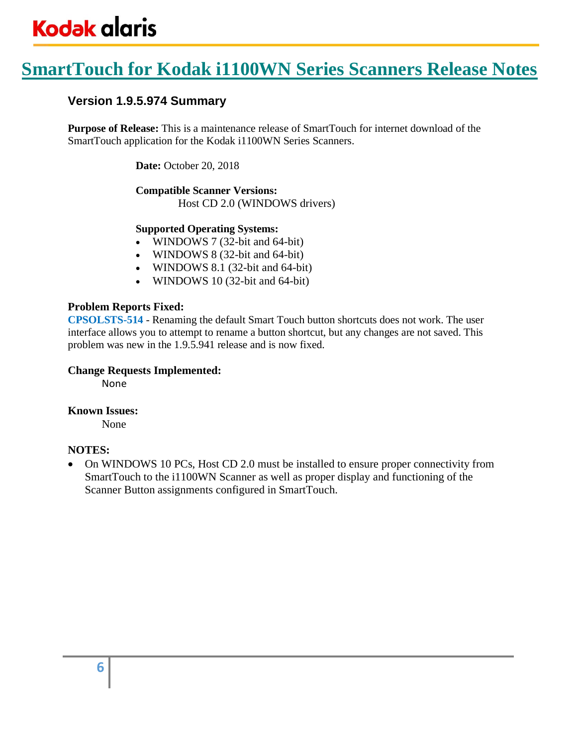## **SmartTouch for Kodak i1100WN Series Scanners Release Notes**

#### **Version 1.9.5.974 Summary**

**Purpose of Release:** This is a maintenance release of SmartTouch for internet download of the SmartTouch application for the Kodak i1100WN Series Scanners.

**Date:** October 20, 2018

#### **Compatible Scanner Versions:** Host CD 2.0 (WINDOWS drivers)

#### **Supported Operating Systems:**

- WINDOWS 7 (32-bit and 64-bit)
- WINDOWS 8 (32-bit and 64-bit)
- WINDOWS 8.1 (32-bit and 64-bit)
- WINDOWS 10 (32-bit and 64-bit)

#### **Problem Reports Fixed:**

**CPSOLSTS-514** - Renaming the default Smart Touch button shortcuts does not work. The user interface allows you to attempt to rename a button shortcut, but any changes are not saved. This problem was new in the 1.9.5.941 release and is now fixed.

#### **Change Requests Implemented:**

None

#### **Known Issues:**

None

#### **NOTES:**

• On WINDOWS 10 PCs, Host CD 2.0 must be installed to ensure proper connectivity from SmartTouch to the i1100WN Scanner as well as proper display and functioning of the Scanner Button assignments configured in SmartTouch.